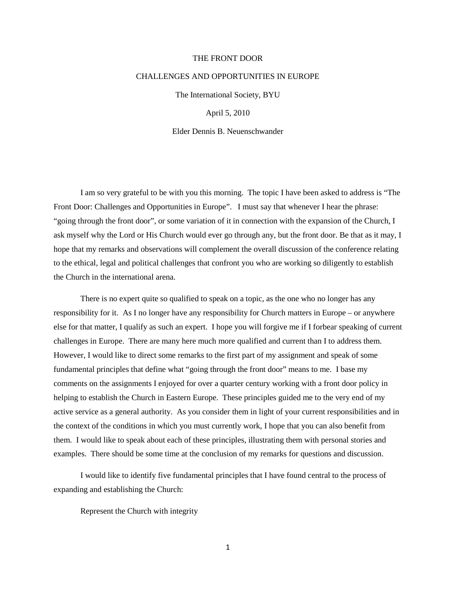## THE FRONT DOOR

## CHALLENGES AND OPPORTUNITIES IN EUROPE

The International Society, BYU

April 5, 2010

Elder Dennis B. Neuenschwander

I am so very grateful to be with you this morning. The topic I have been asked to address is "The Front Door: Challenges and Opportunities in Europe". I must say that whenever I hear the phrase: "going through the front door", or some variation of it in connection with the expansion of the Church, I ask myself why the Lord or His Church would ever go through any, but the front door. Be that as it may, I hope that my remarks and observations will complement the overall discussion of the conference relating to the ethical, legal and political challenges that confront you who are working so diligently to establish the Church in the international arena.

There is no expert quite so qualified to speak on a topic, as the one who no longer has any responsibility for it. As I no longer have any responsibility for Church matters in Europe – or anywhere else for that matter, I qualify as such an expert. I hope you will forgive me if I forbear speaking of current challenges in Europe. There are many here much more qualified and current than I to address them. However, I would like to direct some remarks to the first part of my assignment and speak of some fundamental principles that define what "going through the front door" means to me. I base my comments on the assignments I enjoyed for over a quarter century working with a front door policy in helping to establish the Church in Eastern Europe. These principles guided me to the very end of my active service as a general authority. As you consider them in light of your current responsibilities and in the context of the conditions in which you must currently work, I hope that you can also benefit from them. I would like to speak about each of these principles, illustrating them with personal stories and examples. There should be some time at the conclusion of my remarks for questions and discussion.

I would like to identify five fundamental principles that I have found central to the process of expanding and establishing the Church:

Represent the Church with integrity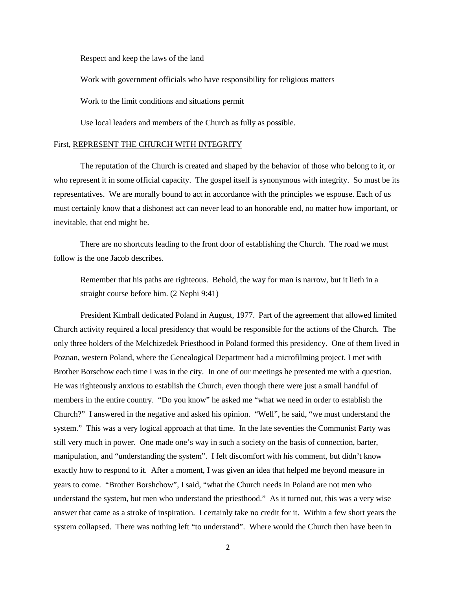Respect and keep the laws of the land

Work with government officials who have responsibility for religious matters

Work to the limit conditions and situations permit

Use local leaders and members of the Church as fully as possible.

## First, REPRESENT THE CHURCH WITH INTEGRITY

The reputation of the Church is created and shaped by the behavior of those who belong to it, or who represent it in some official capacity. The gospel itself is synonymous with integrity. So must be its representatives. We are morally bound to act in accordance with the principles we espouse. Each of us must certainly know that a dishonest act can never lead to an honorable end, no matter how important, or inevitable, that end might be.

There are no shortcuts leading to the front door of establishing the Church. The road we must follow is the one Jacob describes.

Remember that his paths are righteous. Behold, the way for man is narrow, but it lieth in a straight course before him. (2 Nephi 9:41)

President Kimball dedicated Poland in August, 1977. Part of the agreement that allowed limited Church activity required a local presidency that would be responsible for the actions of the Church. The only three holders of the Melchizedek Priesthood in Poland formed this presidency. One of them lived in Poznan, western Poland, where the Genealogical Department had a microfilming project. I met with Brother Borschow each time I was in the city. In one of our meetings he presented me with a question. He was righteously anxious to establish the Church, even though there were just a small handful of members in the entire country. "Do you know" he asked me "what we need in order to establish the Church?" I answered in the negative and asked his opinion. "Well", he said, "we must understand the system." This was a very logical approach at that time. In the late seventies the Communist Party was still very much in power. One made one's way in such a society on the basis of connection, barter, manipulation, and "understanding the system". I felt discomfort with his comment, but didn't know exactly how to respond to it. After a moment, I was given an idea that helped me beyond measure in years to come. "Brother Borshchow", I said, "what the Church needs in Poland are not men who understand the system, but men who understand the priesthood." As it turned out, this was a very wise answer that came as a stroke of inspiration. I certainly take no credit for it. Within a few short years the system collapsed. There was nothing left "to understand". Where would the Church then have been in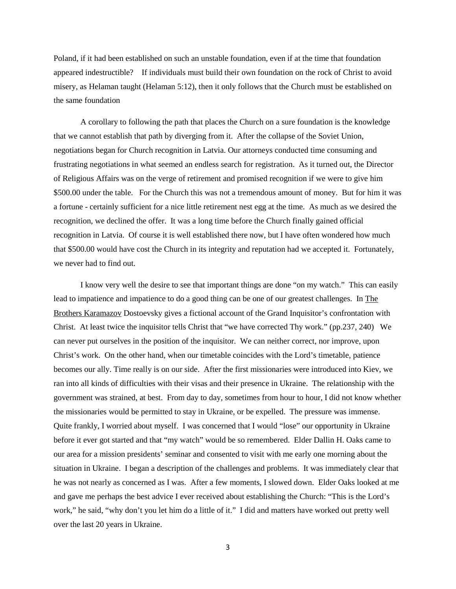Poland, if it had been established on such an unstable foundation, even if at the time that foundation appeared indestructible? If individuals must build their own foundation on the rock of Christ to avoid misery, as Helaman taught (Helaman 5:12), then it only follows that the Church must be established on the same foundation

A corollary to following the path that places the Church on a sure foundation is the knowledge that we cannot establish that path by diverging from it. After the collapse of the Soviet Union, negotiations began for Church recognition in Latvia. Our attorneys conducted time consuming and frustrating negotiations in what seemed an endless search for registration. As it turned out, the Director of Religious Affairs was on the verge of retirement and promised recognition if we were to give him \$500.00 under the table. For the Church this was not a tremendous amount of money. But for him it was a fortune - certainly sufficient for a nice little retirement nest egg at the time. As much as we desired the recognition, we declined the offer. It was a long time before the Church finally gained official recognition in Latvia. Of course it is well established there now, but I have often wondered how much that \$500.00 would have cost the Church in its integrity and reputation had we accepted it. Fortunately, we never had to find out.

I know very well the desire to see that important things are done "on my watch." This can easily lead to impatience and impatience to do a good thing can be one of our greatest challenges. In The Brothers Karamazov Dostoevsky gives a fictional account of the Grand Inquisitor's confrontation with Christ. At least twice the inquisitor tells Christ that "we have corrected Thy work." (pp.237, 240) We can never put ourselves in the position of the inquisitor. We can neither correct, nor improve, upon Christ's work. On the other hand, when our timetable coincides with the Lord's timetable, patience becomes our ally. Time really is on our side. After the first missionaries were introduced into Kiev, we ran into all kinds of difficulties with their visas and their presence in Ukraine. The relationship with the government was strained, at best. From day to day, sometimes from hour to hour, I did not know whether the missionaries would be permitted to stay in Ukraine, or be expelled. The pressure was immense. Quite frankly, I worried about myself. I was concerned that I would "lose" our opportunity in Ukraine before it ever got started and that "my watch" would be so remembered. Elder Dallin H. Oaks came to our area for a mission presidents' seminar and consented to visit with me early one morning about the situation in Ukraine. I began a description of the challenges and problems. It was immediately clear that he was not nearly as concerned as I was. After a few moments, I slowed down. Elder Oaks looked at me and gave me perhaps the best advice I ever received about establishing the Church: "This is the Lord's work," he said, "why don't you let him do a little of it." I did and matters have worked out pretty well over the last 20 years in Ukraine.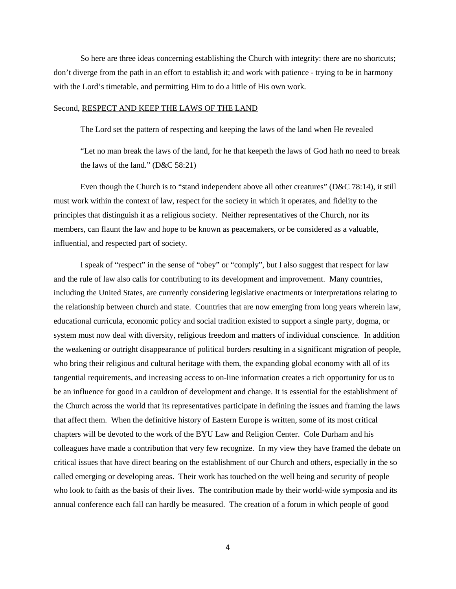So here are three ideas concerning establishing the Church with integrity: there are no shortcuts; don't diverge from the path in an effort to establish it; and work with patience - trying to be in harmony with the Lord's timetable, and permitting Him to do a little of His own work.

## Second, RESPECT AND KEEP THE LAWS OF THE LAND

The Lord set the pattern of respecting and keeping the laws of the land when He revealed

"Let no man break the laws of the land, for he that keepeth the laws of God hath no need to break the laws of the land." (D&C 58:21)

Even though the Church is to "stand independent above all other creatures" (D&C 78:14), it still must work within the context of law, respect for the society in which it operates, and fidelity to the principles that distinguish it as a religious society. Neither representatives of the Church, nor its members, can flaunt the law and hope to be known as peacemakers, or be considered as a valuable, influential, and respected part of society.

I speak of "respect" in the sense of "obey" or "comply", but I also suggest that respect for law and the rule of law also calls for contributing to its development and improvement. Many countries, including the United States, are currently considering legislative enactments or interpretations relating to the relationship between church and state. Countries that are now emerging from long years wherein law, educational curricula, economic policy and social tradition existed to support a single party, dogma, or system must now deal with diversity, religious freedom and matters of individual conscience. In addition the weakening or outright disappearance of political borders resulting in a significant migration of people, who bring their religious and cultural heritage with them, the expanding global economy with all of its tangential requirements, and increasing access to on-line information creates a rich opportunity for us to be an influence for good in a cauldron of development and change. It is essential for the establishment of the Church across the world that its representatives participate in defining the issues and framing the laws that affect them. When the definitive history of Eastern Europe is written, some of its most critical chapters will be devoted to the work of the BYU Law and Religion Center. Cole Durham and his colleagues have made a contribution that very few recognize. In my view they have framed the debate on critical issues that have direct bearing on the establishment of our Church and others, especially in the so called emerging or developing areas. Their work has touched on the well being and security of people who look to faith as the basis of their lives. The contribution made by their world-wide symposia and its annual conference each fall can hardly be measured. The creation of a forum in which people of good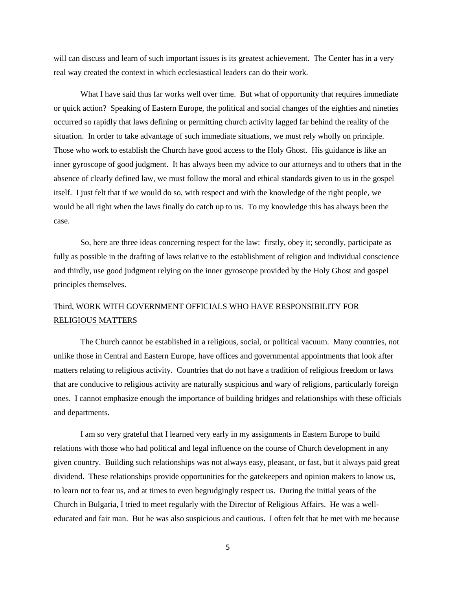will can discuss and learn of such important issues is its greatest achievement. The Center has in a very real way created the context in which ecclesiastical leaders can do their work.

What I have said thus far works well over time. But what of opportunity that requires immediate or quick action? Speaking of Eastern Europe, the political and social changes of the eighties and nineties occurred so rapidly that laws defining or permitting church activity lagged far behind the reality of the situation. In order to take advantage of such immediate situations, we must rely wholly on principle. Those who work to establish the Church have good access to the Holy Ghost. His guidance is like an inner gyroscope of good judgment. It has always been my advice to our attorneys and to others that in the absence of clearly defined law, we must follow the moral and ethical standards given to us in the gospel itself. I just felt that if we would do so, with respect and with the knowledge of the right people, we would be all right when the laws finally do catch up to us. To my knowledge this has always been the case.

So, here are three ideas concerning respect for the law: firstly, obey it; secondly, participate as fully as possible in the drafting of laws relative to the establishment of religion and individual conscience and thirdly, use good judgment relying on the inner gyroscope provided by the Holy Ghost and gospel principles themselves.

# Third, WORK WITH GOVERNMENT OFFICIALS WHO HAVE RESPONSIBILITY FOR RELIGIOUS MATTERS

The Church cannot be established in a religious, social, or political vacuum. Many countries, not unlike those in Central and Eastern Europe, have offices and governmental appointments that look after matters relating to religious activity. Countries that do not have a tradition of religious freedom or laws that are conducive to religious activity are naturally suspicious and wary of religions, particularly foreign ones. I cannot emphasize enough the importance of building bridges and relationships with these officials and departments.

I am so very grateful that I learned very early in my assignments in Eastern Europe to build relations with those who had political and legal influence on the course of Church development in any given country. Building such relationships was not always easy, pleasant, or fast, but it always paid great dividend. These relationships provide opportunities for the gatekeepers and opinion makers to know us, to learn not to fear us, and at times to even begrudgingly respect us. During the initial years of the Church in Bulgaria, I tried to meet regularly with the Director of Religious Affairs. He was a welleducated and fair man. But he was also suspicious and cautious. I often felt that he met with me because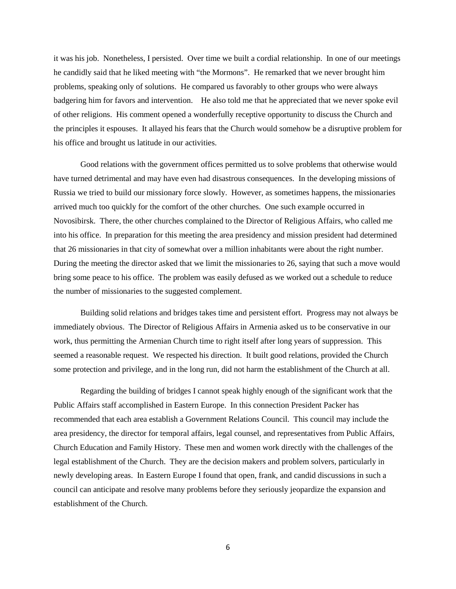it was his job. Nonetheless, I persisted. Over time we built a cordial relationship. In one of our meetings he candidly said that he liked meeting with "the Mormons". He remarked that we never brought him problems, speaking only of solutions. He compared us favorably to other groups who were always badgering him for favors and intervention. He also told me that he appreciated that we never spoke evil of other religions. His comment opened a wonderfully receptive opportunity to discuss the Church and the principles it espouses. It allayed his fears that the Church would somehow be a disruptive problem for his office and brought us latitude in our activities.

Good relations with the government offices permitted us to solve problems that otherwise would have turned detrimental and may have even had disastrous consequences. In the developing missions of Russia we tried to build our missionary force slowly. However, as sometimes happens, the missionaries arrived much too quickly for the comfort of the other churches. One such example occurred in Novosibirsk. There, the other churches complained to the Director of Religious Affairs, who called me into his office. In preparation for this meeting the area presidency and mission president had determined that 26 missionaries in that city of somewhat over a million inhabitants were about the right number. During the meeting the director asked that we limit the missionaries to 26, saying that such a move would bring some peace to his office. The problem was easily defused as we worked out a schedule to reduce the number of missionaries to the suggested complement.

Building solid relations and bridges takes time and persistent effort. Progress may not always be immediately obvious. The Director of Religious Affairs in Armenia asked us to be conservative in our work, thus permitting the Armenian Church time to right itself after long years of suppression. This seemed a reasonable request. We respected his direction. It built good relations, provided the Church some protection and privilege, and in the long run, did not harm the establishment of the Church at all.

Regarding the building of bridges I cannot speak highly enough of the significant work that the Public Affairs staff accomplished in Eastern Europe. In this connection President Packer has recommended that each area establish a Government Relations Council. This council may include the area presidency, the director for temporal affairs, legal counsel, and representatives from Public Affairs, Church Education and Family History. These men and women work directly with the challenges of the legal establishment of the Church. They are the decision makers and problem solvers, particularly in newly developing areas. In Eastern Europe I found that open, frank, and candid discussions in such a council can anticipate and resolve many problems before they seriously jeopardize the expansion and establishment of the Church.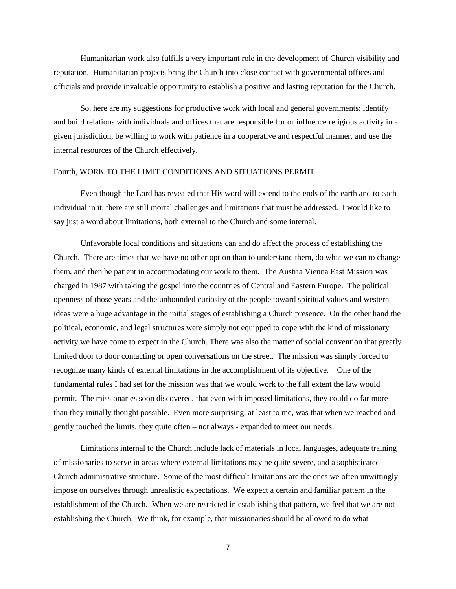Humanitarian work also fulfills a very important role in the development of Church visibility and reputation. Humanitarian projects bring the Church into close contact with governmental offices and officials and provide invaluable opportunity to establish a positive and lasting reputation for the Church.

So, here are my suggestions for productive work with local and general governments: identify and build relations with individuals and offices that are responsible for or influence religious activity in a given jurisdiction, be willing to work with patience in a cooperative and respectful manner, and use the internal resources of the Church effectively.

## Fourth, WORK TO THE LIMIT CONDITIONS AND SITUATIONS PERMIT

Even though the Lord has revealed that His word will extend to the ends of the earth and to each individual in it, there are still mortal challenges and limitations that must be addressed. I would like to say just a word about limitations, both external to the Church and some internal.

Unfavorable local conditions and situations can and do affect the process of establishing the Church. There are times that we have no other option than to understand them, do what we can to change them, and then be patient in accommodating our work to them. The Austria Vienna East Mission was charged in 1987 with taking the gospel into the countries of Central and Eastern Europe. The political openness of those years and the unbounded curiosity of the people toward spiritual values and western ideas were a huge advantage in the initial stages of establishing a Church presence. On the other hand the political, economic, and legal structures were simply not equipped to cope with the kind of missionary activity we have come to expect in the Church. There was also the matter of social convention that greatly limited door to door contacting or open conversations on the street. The mission was simply forced to recognize many kinds of external limitations in the accomplishment of its objective. One of the fundamental rules I had set for the mission was that we would work to the full extent the law would permit. The missionaries soon discovered, that even with imposed limitations, they could do far more than they initially thought possible. Even more surprising, at least to me, was that when we reached and gently touched the limits, they quite often – not always - expanded to meet our needs.

Limitations internal to the Church include lack of materials in local languages, adequate training of missionaries to serve in areas where external limitations may be quite severe, and a sophisticated Church administrative structure. Some of the most difficult limitations are the ones we often unwittingly impose on ourselves through unrealistic expectations. We expect a certain and familiar pattern in the establishment of the Church. When we are restricted in establishing that pattern, we feel that we are not establishing the Church. We think, for example, that missionaries should be allowed to do what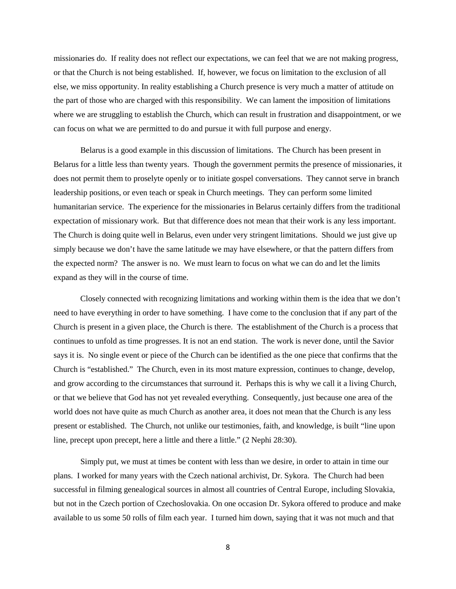missionaries do. If reality does not reflect our expectations, we can feel that we are not making progress, or that the Church is not being established. If, however, we focus on limitation to the exclusion of all else, we miss opportunity. In reality establishing a Church presence is very much a matter of attitude on the part of those who are charged with this responsibility. We can lament the imposition of limitations where we are struggling to establish the Church, which can result in frustration and disappointment, or we can focus on what we are permitted to do and pursue it with full purpose and energy.

Belarus is a good example in this discussion of limitations. The Church has been present in Belarus for a little less than twenty years. Though the government permits the presence of missionaries, it does not permit them to proselyte openly or to initiate gospel conversations. They cannot serve in branch leadership positions, or even teach or speak in Church meetings. They can perform some limited humanitarian service. The experience for the missionaries in Belarus certainly differs from the traditional expectation of missionary work. But that difference does not mean that their work is any less important. The Church is doing quite well in Belarus, even under very stringent limitations. Should we just give up simply because we don't have the same latitude we may have elsewhere, or that the pattern differs from the expected norm? The answer is no. We must learn to focus on what we can do and let the limits expand as they will in the course of time.

Closely connected with recognizing limitations and working within them is the idea that we don't need to have everything in order to have something. I have come to the conclusion that if any part of the Church is present in a given place, the Church is there. The establishment of the Church is a process that continues to unfold as time progresses. It is not an end station. The work is never done, until the Savior says it is. No single event or piece of the Church can be identified as the one piece that confirms that the Church is "established." The Church, even in its most mature expression, continues to change, develop, and grow according to the circumstances that surround it. Perhaps this is why we call it a living Church, or that we believe that God has not yet revealed everything. Consequently, just because one area of the world does not have quite as much Church as another area, it does not mean that the Church is any less present or established. The Church, not unlike our testimonies, faith, and knowledge, is built "line upon line, precept upon precept, here a little and there a little." (2 Nephi 28:30).

Simply put, we must at times be content with less than we desire, in order to attain in time our plans. I worked for many years with the Czech national archivist, Dr. Sykora. The Church had been successful in filming genealogical sources in almost all countries of Central Europe, including Slovakia, but not in the Czech portion of Czechoslovakia. On one occasion Dr. Sykora offered to produce and make available to us some 50 rolls of film each year. I turned him down, saying that it was not much and that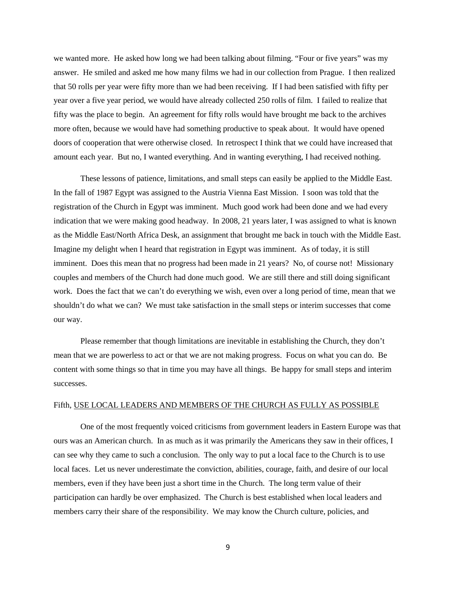we wanted more. He asked how long we had been talking about filming. "Four or five years" was my answer. He smiled and asked me how many films we had in our collection from Prague. I then realized that 50 rolls per year were fifty more than we had been receiving. If I had been satisfied with fifty per year over a five year period, we would have already collected 250 rolls of film. I failed to realize that fifty was the place to begin. An agreement for fifty rolls would have brought me back to the archives more often, because we would have had something productive to speak about. It would have opened doors of cooperation that were otherwise closed. In retrospect I think that we could have increased that amount each year. But no, I wanted everything. And in wanting everything, I had received nothing.

These lessons of patience, limitations, and small steps can easily be applied to the Middle East. In the fall of 1987 Egypt was assigned to the Austria Vienna East Mission. I soon was told that the registration of the Church in Egypt was imminent. Much good work had been done and we had every indication that we were making good headway. In 2008, 21 years later, I was assigned to what is known as the Middle East/North Africa Desk, an assignment that brought me back in touch with the Middle East. Imagine my delight when I heard that registration in Egypt was imminent. As of today, it is still imminent. Does this mean that no progress had been made in 21 years? No, of course not! Missionary couples and members of the Church had done much good. We are still there and still doing significant work. Does the fact that we can't do everything we wish, even over a long period of time, mean that we shouldn't do what we can? We must take satisfaction in the small steps or interim successes that come our way.

Please remember that though limitations are inevitable in establishing the Church, they don't mean that we are powerless to act or that we are not making progress. Focus on what you can do. Be content with some things so that in time you may have all things. Be happy for small steps and interim successes.

## Fifth, USE LOCAL LEADERS AND MEMBERS OF THE CHURCH AS FULLY AS POSSIBLE

One of the most frequently voiced criticisms from government leaders in Eastern Europe was that ours was an American church. In as much as it was primarily the Americans they saw in their offices, I can see why they came to such a conclusion. The only way to put a local face to the Church is to use local faces. Let us never underestimate the conviction, abilities, courage, faith, and desire of our local members, even if they have been just a short time in the Church. The long term value of their participation can hardly be over emphasized. The Church is best established when local leaders and members carry their share of the responsibility. We may know the Church culture, policies, and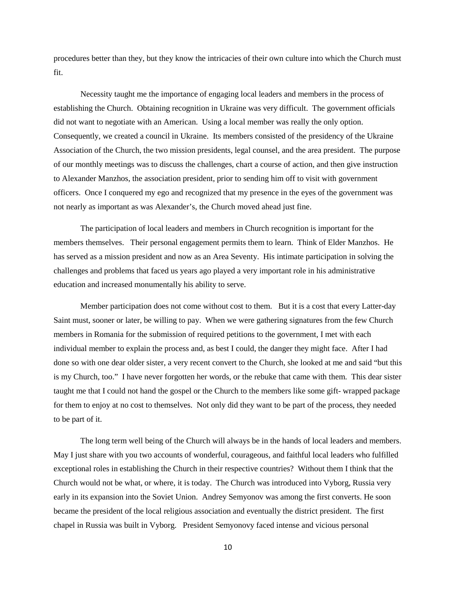procedures better than they, but they know the intricacies of their own culture into which the Church must fit.

Necessity taught me the importance of engaging local leaders and members in the process of establishing the Church. Obtaining recognition in Ukraine was very difficult. The government officials did not want to negotiate with an American. Using a local member was really the only option. Consequently, we created a council in Ukraine. Its members consisted of the presidency of the Ukraine Association of the Church, the two mission presidents, legal counsel, and the area president. The purpose of our monthly meetings was to discuss the challenges, chart a course of action, and then give instruction to Alexander Manzhos, the association president, prior to sending him off to visit with government officers. Once I conquered my ego and recognized that my presence in the eyes of the government was not nearly as important as was Alexander's, the Church moved ahead just fine.

The participation of local leaders and members in Church recognition is important for the members themselves. Their personal engagement permits them to learn. Think of Elder Manzhos. He has served as a mission president and now as an Area Seventy. His intimate participation in solving the challenges and problems that faced us years ago played a very important role in his administrative education and increased monumentally his ability to serve.

Member participation does not come without cost to them. But it is a cost that every Latter-day Saint must, sooner or later, be willing to pay. When we were gathering signatures from the few Church members in Romania for the submission of required petitions to the government, I met with each individual member to explain the process and, as best I could, the danger they might face. After I had done so with one dear older sister, a very recent convert to the Church, she looked at me and said "but this is my Church, too." I have never forgotten her words, or the rebuke that came with them. This dear sister taught me that I could not hand the gospel or the Church to the members like some gift- wrapped package for them to enjoy at no cost to themselves. Not only did they want to be part of the process, they needed to be part of it.

The long term well being of the Church will always be in the hands of local leaders and members. May I just share with you two accounts of wonderful, courageous, and faithful local leaders who fulfilled exceptional roles in establishing the Church in their respective countries? Without them I think that the Church would not be what, or where, it is today. The Church was introduced into Vyborg, Russia very early in its expansion into the Soviet Union. Andrey Semyonov was among the first converts. He soon became the president of the local religious association and eventually the district president. The first chapel in Russia was built in Vyborg. President Semyonovy faced intense and vicious personal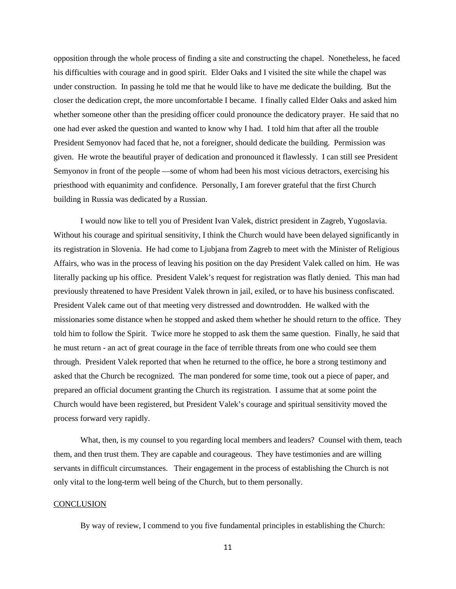opposition through the whole process of finding a site and constructing the chapel. Nonetheless, he faced his difficulties with courage and in good spirit. Elder Oaks and I visited the site while the chapel was under construction. In passing he told me that he would like to have me dedicate the building. But the closer the dedication crept, the more uncomfortable I became. I finally called Elder Oaks and asked him whether someone other than the presiding officer could pronounce the dedicatory prayer. He said that no one had ever asked the question and wanted to know why I had. I told him that after all the trouble President Semyonov had faced that he, not a foreigner, should dedicate the building. Permission was given. He wrote the beautiful prayer of dedication and pronounced it flawlessly. I can still see President Semyonov in front of the people —some of whom had been his most vicious detractors, exercising his priesthood with equanimity and confidence. Personally, I am forever grateful that the first Church building in Russia was dedicated by a Russian.

I would now like to tell you of President Ivan Valek, district president in Zagreb, Yugoslavia. Without his courage and spiritual sensitivity, I think the Church would have been delayed significantly in its registration in Slovenia. He had come to Ljubjana from Zagreb to meet with the Minister of Religious Affairs, who was in the process of leaving his position on the day President Valek called on him. He was literally packing up his office. President Valek's request for registration was flatly denied. This man had previously threatened to have President Valek thrown in jail, exiled, or to have his business confiscated. President Valek came out of that meeting very distressed and downtrodden. He walked with the missionaries some distance when he stopped and asked them whether he should return to the office. They told him to follow the Spirit. Twice more he stopped to ask them the same question. Finally, he said that he must return - an act of great courage in the face of terrible threats from one who could see them through. President Valek reported that when he returned to the office, he bore a strong testimony and asked that the Church be recognized. The man pondered for some time, took out a piece of paper, and prepared an official document granting the Church its registration. I assume that at some point the Church would have been registered, but President Valek's courage and spiritual sensitivity moved the process forward very rapidly.

What, then, is my counsel to you regarding local members and leaders? Counsel with them, teach them, and then trust them. They are capable and courageous. They have testimonies and are willing servants in difficult circumstances. Their engagement in the process of establishing the Church is not only vital to the long-term well being of the Church, but to them personally.

## **CONCLUSION**

By way of review, I commend to you five fundamental principles in establishing the Church: